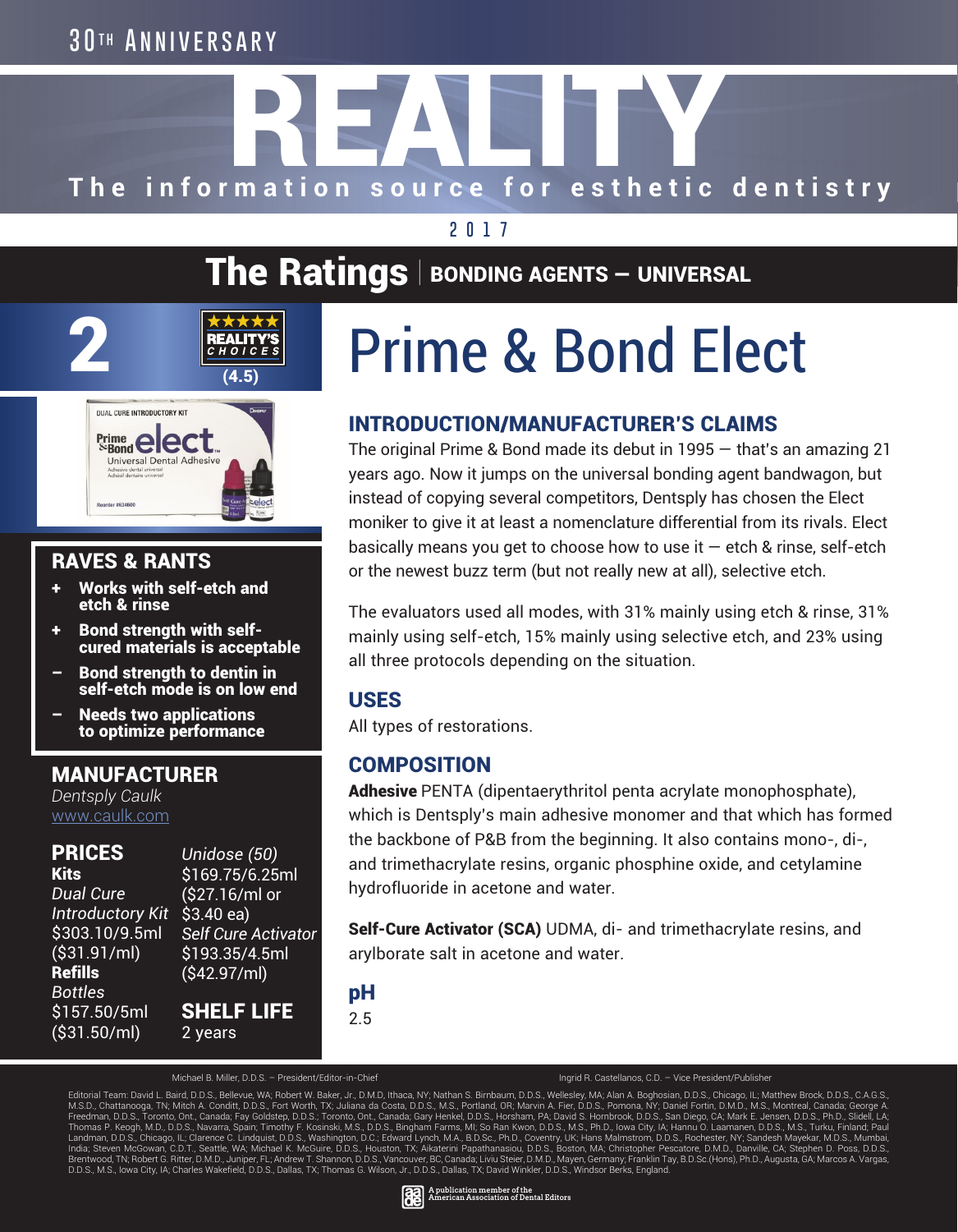#### **3 0 t h Anniversary**

# The information source for esthetic dentistry

#### **2017**

#### The Ratings  $\vert$  bonding agents – UNIVERSAL

## $X \times X \times X$ <br>
REALITY'S<br>  $G H O I C E S$ <br>
(4.5)



#### RAVES & RANTS

- Works with self-etch and etch & rinse
- + Bond strength with selfcured materials is acceptable
- Bond strength to dentin in self-etch mode is on low end
- Needs two applications to optimize performance

#### MANUFACTURER

*Dentsply Caulk* www.caulk.com

#### PRICES

**Kits** *Dual Cure Introductory Kit* \$3.40 ea) \$303.10/9.5ml (\$31.91/ml) Refills *Bottles* \$157.50/5ml (\$31.50/ml)

*Unidose (50)* \$169.75/6.25ml (\$27.16/ml or *Self Cure Activator* \$193.35/4.5ml (\$42.97/ml) SHELF LIFE 2 years

### Prime & Bond Elect

#### INTRODUCTION/MANUFACTURER'S CLAIMS

The original Prime & Bond made its debut in 1995 — that's an amazing 21 years ago. Now it jumps on the universal bonding agent bandwagon, but instead of copying several competitors, Dentsply has chosen the Elect moniker to give it at least a nomenclature differential from its rivals. Elect basically means you get to choose how to use it  $-$  etch & rinse, self-etch or the newest buzz term (but not really new at all), selective etch.

The evaluators used all modes, with 31% mainly using etch & rinse, 31% mainly using self-etch, 15% mainly using selective etch, and 23% using all three protocols depending on the situation.

#### USES

All types of restorations.

#### **COMPOSITION**

Adhesive PENTA (dipentaerythritol penta acrylate monophosphate), which is Dentsply's main adhesive monomer and that which has formed the backbone of P&B from the beginning. It also contains mono-, di-, and trimethacrylate resins, organic phosphine oxide, and cetylamine hydrofluoride in acetone and water.

Self-Cure Activator (SCA) UDMA, di- and trimethacrylate resins, and arylborate salt in acetone and water.

pH 2.5

Michael B. Miller, D.D.S. – President/Editor-in-Chief Ingrid R. Castellanos, C.D. – Vice President/Publisher

Editorial Team: David L. Baird, D.D.S., Bellevue, WA; Robert W. Baker, Jr., D.M.D, Ithaca, NY; Nathan S. Birnbaum, D.D.S., Wellesley, MA; Alan A. Boghosian, D.D.S., Chicago, IL; Matthew Brock, D.D.S., C.A.G.S., C.A.G.S., D

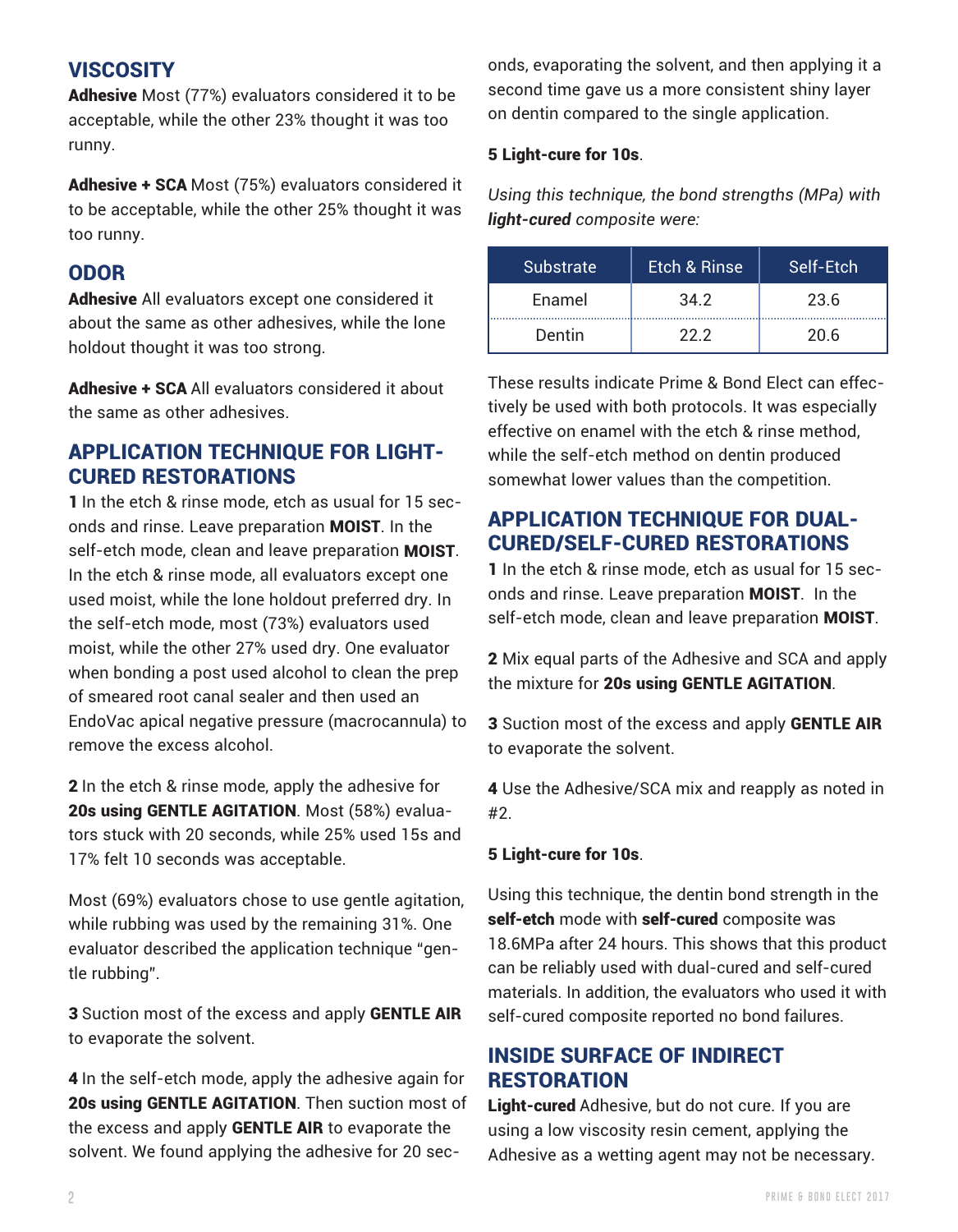effective on enamel with the etch & rinse method, while the self-etch method on dentin produced somewhat lower values than the competition.

#### APPLICATION TECHNIQUE FOR DUAL-CURED/SELF-CURED RESTORATIONS

onds, evaporating the solvent, and then applying it a second time gave us a more consistent shiny layer

*Using this technique, the bond strengths (MPa) with*

Substrate | Etch & Rinse | Self-Etch

Enamel 34.2 23.6

Dentin | 22.2 | 20.6

These results indicate Prime & Bond Elect can effectively be used with both protocols. It was especially

on dentin compared to the single application.

5 Light-cure for 10s.

*light-cured composite were:*

1 In the etch & rinse mode, etch as usual for 15 seconds and rinse. Leave preparation MOIST. In the self-etch mode, clean and leave preparation MOIST.

2 Mix equal parts of the Adhesive and SCA and apply the mixture for 20s using GENTLE AGITATION.

3 Suction most of the excess and apply GENTLE AIR to evaporate the solvent.

4 Use the Adhesive/SCA mix and reapply as noted in #2.

#### 5 Light-cure for 10s.

Using this technique, the dentin bond strength in the self-etch mode with self-cured composite was 18.6MPa after 24 hours. This shows that this product can be reliably used with dual-cured and self-cured materials. In addition, the evaluators who used it with self-cured composite reported no bond failures.

#### INSIDE SURFACE OF INDIRECT **RESTORATION**

Light-cured Adhesive, but do not cure. If you are using a low viscosity resin cement, applying the Adhesive as a wetting agent may not be necessary.

**2 PRIME & BOND ELECT 2017**

#### **VISCOSITY**

Adhesive Most (77%) evaluators considered it to be acceptable, while the other 23% thought it was too runny.

Adhesive + SCA Most (75%) evaluators considered it to be acceptable, while the other 25% thought it was too runny.

#### ODOR

Adhesive All evaluators except one considered it about the same as other adhesives, while the lone holdout thought it was too strong.

Adhesive + SCA All evaluators considered it about the same as other adhesives.

#### APPLICATION TECHNIQUE FOR LIGHT-CURED RESTORATIONS

1 In the etch & rinse mode, etch as usual for 15 seconds and rinse. Leave preparation MOIST. In the self-etch mode, clean and leave preparation MOIST. In the etch & rinse mode, all evaluators except one used moist, while the lone holdout preferred dry. In the self-etch mode, most (73%) evaluators used moist, while the other 27% used dry. One evaluator when bonding a post used alcohol to clean the prep of smeared root canal sealer and then used an EndoVac apical negative pressure (macrocannula) to remove the excess alcohol.

2 In the etch & rinse mode, apply the adhesive for 20s using GENTLE AGITATION. Most (58%) evaluators stuck with 20 seconds, while 25% used 15s and 17% felt 10 seconds was acceptable.

Most (69%) evaluators chose to use gentle agitation, while rubbing was used by the remaining 31%. One evaluator described the application technique "gentle rubbing".

3 Suction most of the excess and apply GENTLE AIR to evaporate the solvent.

4 In the self-etch mode, apply the adhesive again for 20s using GENTLE AGITATION. Then suction most of the excess and apply GENTLE AIR to evaporate the solvent. We found applying the adhesive for 20 sec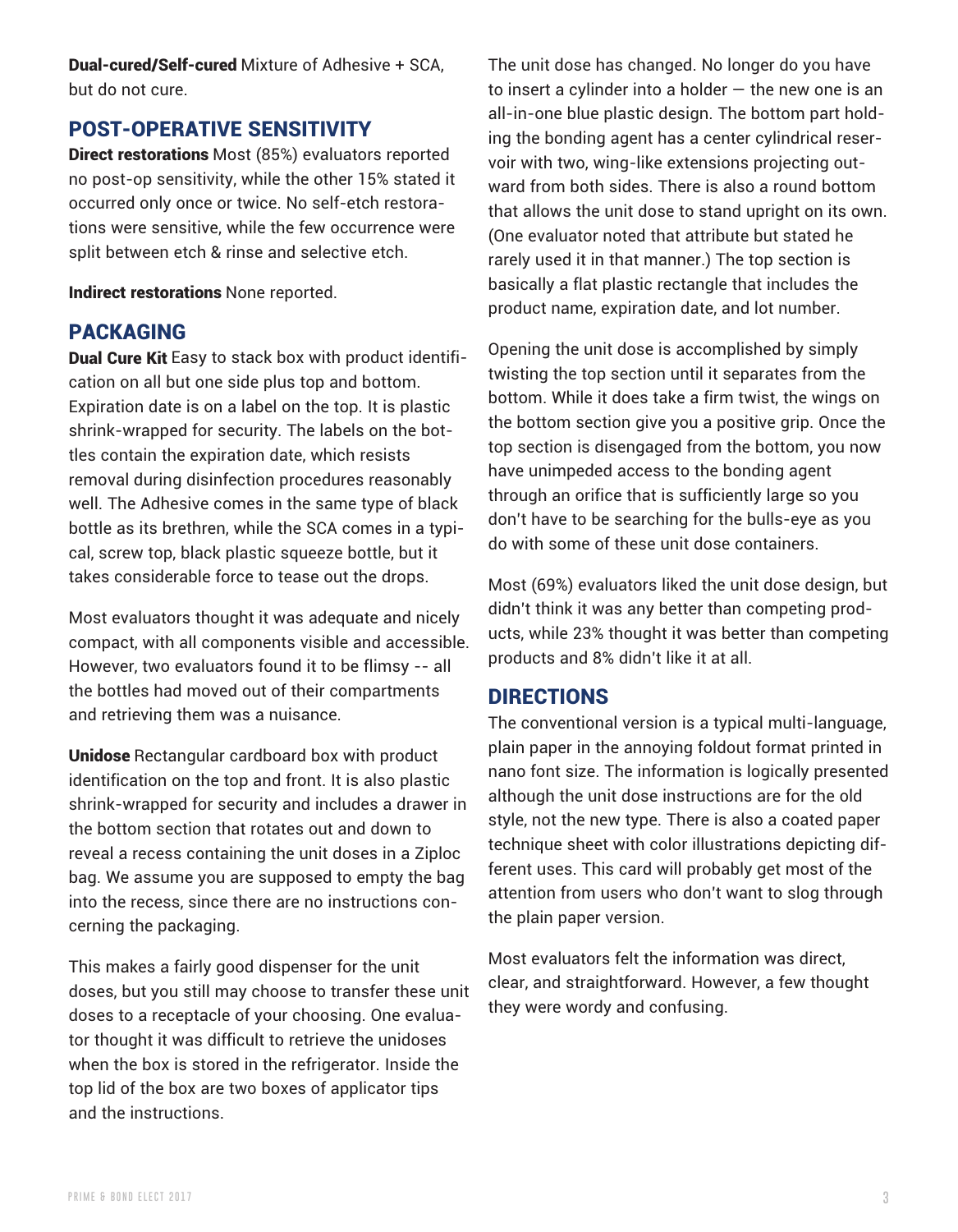Dual-cured/Self-cured Mixture of Adhesive + SCA, but do not cure.

#### POST-OPERATIVE SENSITIVITY

Direct restorations Most (85%) evaluators reported no post-op sensitivity, while the other 15% stated it occurred only once or twice. No self-etch restorations were sensitive, while the few occurrence were split between etch & rinse and selective etch.

Indirect restorations None reported.

#### PACKAGING

Dual Cure Kit Easy to stack box with product identification on all but one side plus top and bottom. Expiration date is on a label on the top. It is plastic shrink-wrapped for security. The labels on the bottles contain the expiration date, which resists removal during disinfection procedures reasonably well. The Adhesive comes in the same type of black bottle as its brethren, while the SCA comes in a typical, screw top, black plastic squeeze bottle, but it takes considerable force to tease out the drops.

Most evaluators thought it was adequate and nicely compact, with all components visible and accessible. However, two evaluators found it to be flimsy -- all the bottles had moved out of their compartments and retrieving them was a nuisance.

Unidose Rectangular cardboard box with product identification on the top and front. It is also plastic shrink-wrapped for security and includes a drawer in the bottom section that rotates out and down to reveal a recess containing the unit doses in a Ziploc bag. We assume you are supposed to empty the bag into the recess, since there are no instructions concerning the packaging.

This makes a fairly good dispenser for the unit doses, but you still may choose to transfer these unit doses to a receptacle of your choosing. One evaluator thought it was difficult to retrieve the unidoses when the box is stored in the refrigerator. Inside the top lid of the box are two boxes of applicator tips and the instructions.

The unit dose has changed. No longer do you have to insert a cylinder into a holder  $-$  the new one is an all-in-one blue plastic design. The bottom part holding the bonding agent has a center cylindrical reservoir with two, wing-like extensions projecting outward from both sides. There is also a round bottom that allows the unit dose to stand upright on its own. (One evaluator noted that attribute but stated he rarely used it in that manner.) The top section is basically a flat plastic rectangle that includes the product name, expiration date, and lot number.

Opening the unit dose is accomplished by simply twisting the top section until it separates from the bottom. While it does take a firm twist, the wings on the bottom section give you a positive grip. Once the top section is disengaged from the bottom, you now have unimpeded access to the bonding agent through an orifice that is sufficiently large so you don't have to be searching for the bulls-eye as you do with some of these unit dose containers.

Most (69%) evaluators liked the unit dose design, but didn't think it was any better than competing products, while 23% thought it was better than competing products and 8% didn't like it at all.

#### DIRECTIONS

The conventional version is a typical multi-language, plain paper in the annoying foldout format printed in nano font size. The information is logically presented although the unit dose instructions are for the old style, not the new type. There is also a coated paper technique sheet with color illustrations depicting different uses. This card will probably get most of the attention from users who don't want to slog through the plain paper version.

Most evaluators felt the information was direct, clear, and straightforward. However, a few thought they were wordy and confusing.